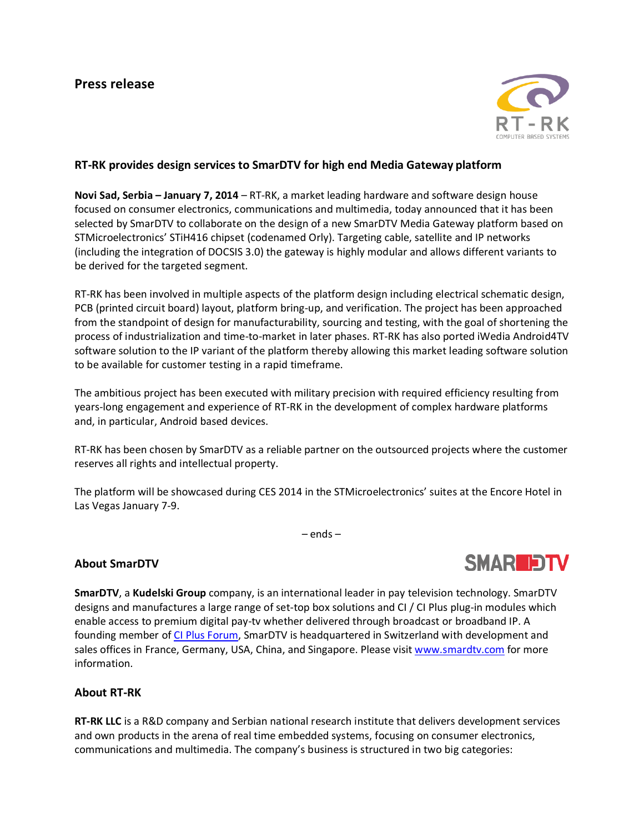

## **RT-RK provides design services to SmarDTV for high end Media Gateway platform**

**Novi Sad, Serbia – January 7, 2014** – RT-RK, a market leading hardware and software design house focused on consumer electronics, communications and multimedia, today announced that it has been selected by SmarDTV to collaborate on the design of a new SmarDTV Media Gateway platform based on STMicroelectronics' STiH416 chipset (codenamed Orly). Targeting cable, satellite and IP networks (including the integration of DOCSIS 3.0) the gateway is highly modular and allows different variants to be derived for the targeted segment.

RT-RK has been involved in multiple aspects of the platform design including electrical schematic design, PCB (printed circuit board) layout, platform bring-up, and verification. The project has been approached from the standpoint of design for manufacturability, sourcing and testing, with the goal of shortening the process of industrialization and time-to-market in later phases. RT-RK has also ported iWedia Android4TV software solution to the IP variant of the platform thereby allowing this market leading software solution to be available for customer testing in a rapid timeframe.

The ambitious project has been executed with military precision with required efficiency resulting from years-long engagement and experience of RT-RK in the development of complex hardware platforms and, in particular, Android based devices.

RT-RK has been chosen by SmarDTV as a reliable partner on the outsourced projects where the customer reserves all rights and intellectual property.

The platform will be showcased during CES 2014 in the STMicroelectronics' suites at the Encore Hotel in Las Vegas January 7-9.

– ends –

## **About SmarDTV**

**SMARIDTV** 

**SmarDTV**, a **Kudelski Group** company, is an international leader in pay television technology. SmarDTV designs and manufactures a large range of set-top box solutions and CI / CI Plus plug-in modules which enable access to premium digital pay-tv whether delivered through broadcast or broadband IP. A founding member of [CI Plus Forum,](http://www.ci-plus.com/) SmarDTV is headquartered in Switzerland with development and sales offices in France, Germany, USA, China, and Singapore. Please visi[t www.smardtv.com](http://www.smardtv.com/) for more information.

## **About RT-RK**

**RT-RK LLC** is a R&D company and Serbian national research institute that delivers development services and own products in the arena of real time embedded systems, focusing on consumer electronics, communications and multimedia. The company's business is structured in two big categories: